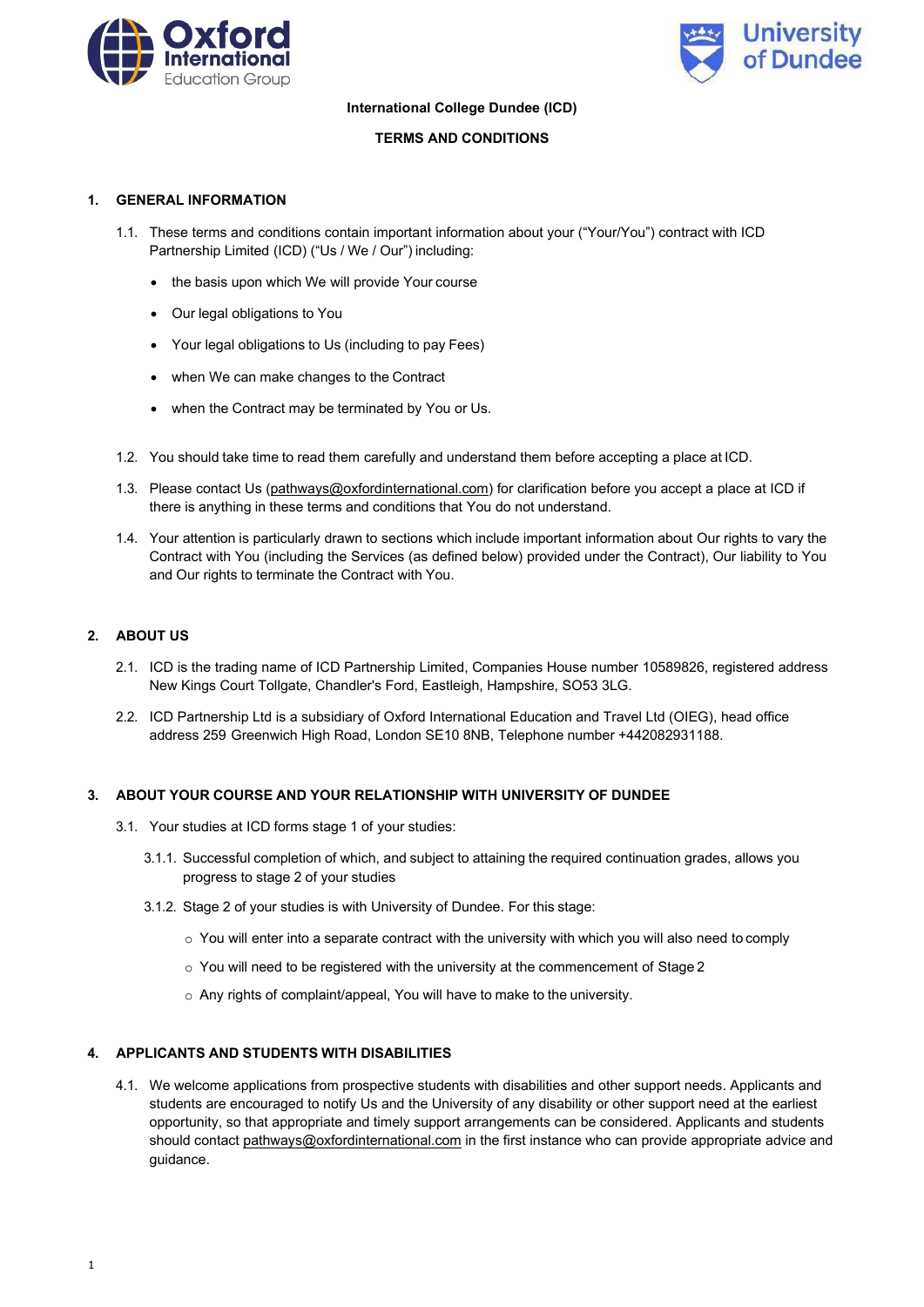



### **International College Dundee (ICD)**

# **TERMS AND CONDITIONS**

### **1. GENERAL INFORMATION**

- 1.1. These terms and conditions contain important information about your ("Your/You") contract with ICD Partnership Limited (ICD) ("Us / We / Our") including:
	- the basis upon which We will provide Your course
	- Our legal obligations to You
	- Your legal obligations to Us (including to pay Fees)
	- when We can make changes to the Contract
	- when the Contract may be terminated by You or Us.
- 1.2. You should take time to read them carefully and understand them before accepting a place at ICD.
- 1.3. Please contact Us [\(pathways@oxfordinternational.com\)](mailto:pathways@oxfordinternational.com) for clarification before you accept a place at ICD if there is anything in these terms and conditions that You do not understand.
- 1.4. Your attention is particularly drawn to sections which include important information about Our rights to vary the Contract with You (including the Services (as defined below) provided under the Contract), Our liability to You and Our rights to terminate the Contract with You.

# **2. ABOUT US**

- 2.1. ICD is the trading name of ICD Partnership Limited, Companies House number 10589826, registered address New Kings Court Tollgate, Chandler's Ford, Eastleigh, Hampshire, SO53 3LG.
- 2.2. ICD Partnership Ltd is a subsidiary of Oxford International Education and Travel Ltd (OIEG), head office address 259 Greenwich High Road, London SE10 8NB, Telephone number +442082931188.

# **3. ABOUT YOUR COURSE AND YOUR RELATIONSHIP WITH UNIVERSITY OF DUNDEE**

- 3.1. Your studies at ICD forms stage 1 of your studies:
	- 3.1.1. Successful completion of which, and subject to attaining the required continuation grades, allows you progress to stage 2 of your studies
	- 3.1.2. Stage 2 of your studies is with University of Dundee. For this stage:
		- o You will enter into a separate contract with the university with which you will also need to comply
		- o You will need to be registered with the university at the commencement of Stage 2
		- o Any rights of complaint/appeal, You will have to make to the university.

# **4. APPLICANTS AND STUDENTS WITH DISABILITIES**

4.1. We welcome applications from prospective students with disabilities and other support needs. Applicants and students are encouraged to notify Us and the University of any disability or other support need at the earliest opportunity, so that appropriate and timely support arrangements can be considered. Applicants and students should contact [pathways@oxfordinternational.com in](mailto:pathways@oxfordinternational.com) the first instance who can provide appropriate advice and guidance.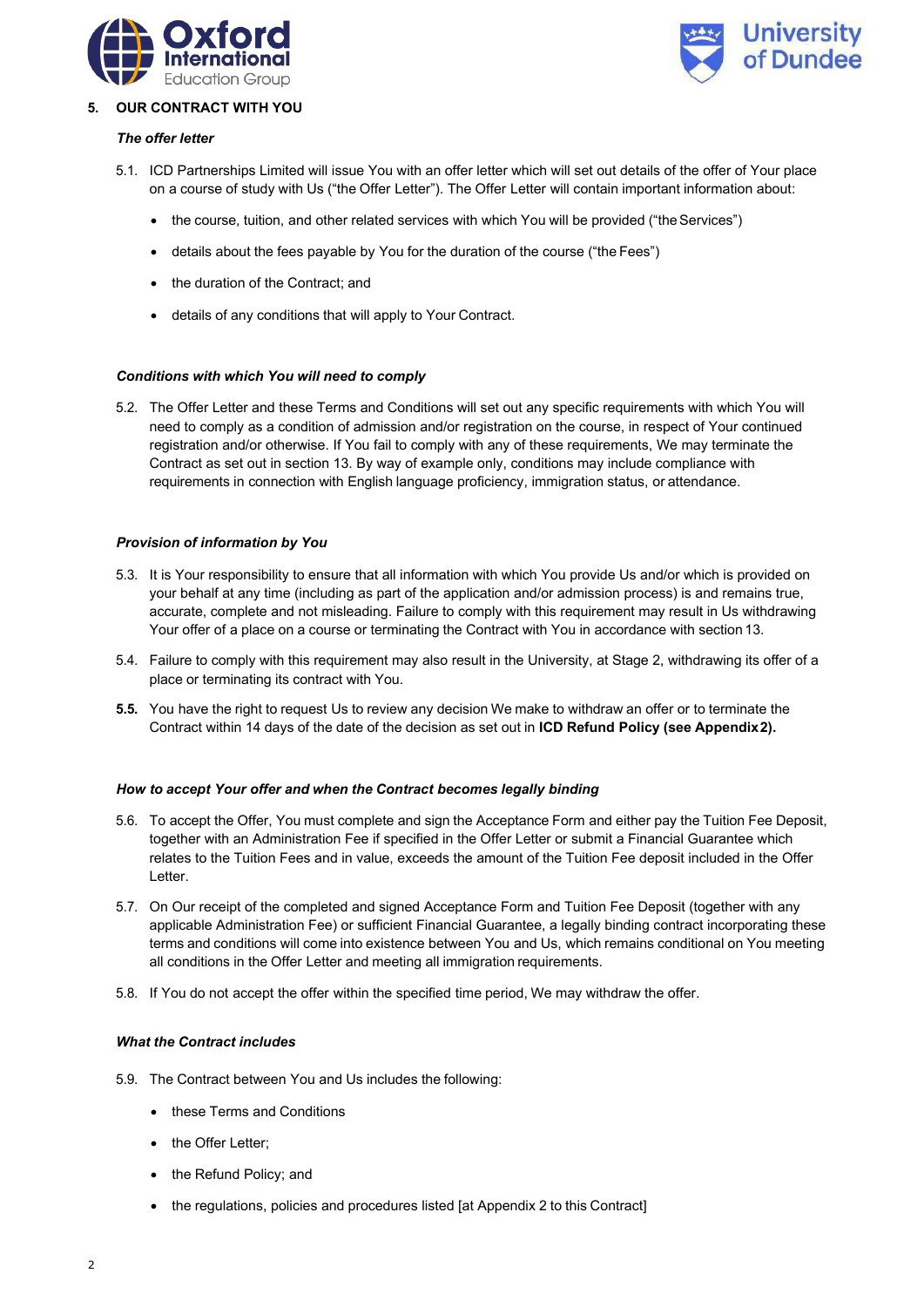



### **5. OUR CONTRACT WITH YOU**

### *The offer letter*

- 5.1. ICD Partnerships Limited will issue You with an offer letter which will set out details of the offer of Your place on a course of study with Us ("the Offer Letter"). The Offer Letter will contain important information about:
	- the course, tuition, and other related services with which You will be provided ("the Services")
	- details about the fees payable by You for the duration of the course ("the Fees")
	- the duration of the Contract; and
	- details of any conditions that will apply to Your Contract.

### *Conditions with which You will need to comply*

5.2. The Offer Letter and these Terms and Conditions will set out any specific requirements with which You will need to comply as a condition of admission and/or registration on the course, in respect of Your continued registration and/or otherwise. If You fail to comply with any of these requirements, We may terminate the Contract as set out in section 13. By way of example only, conditions may include compliance with requirements in connection with English language proficiency, immigration status, or attendance.

### *Provision of information by You*

- 5.3. It is Your responsibility to ensure that all information with which You provide Us and/or which is provided on your behalf at any time (including as part of the application and/or admission process) is and remains true, accurate, complete and not misleading. Failure to comply with this requirement may result in Us withdrawing Your offer of a place on a course or terminating the Contract with You in accordance with section 13.
- 5.4. Failure to comply with this requirement may also result in the University, at Stage 2, withdrawing its offer of a place or terminating its contract with You.
- **5.5.** You have the right to request Us to review any decision We make to withdraw an offer or to terminate the Contract within 14 days of the date of the decision as set out in **ICD Refund Policy (see Appendix2).**

#### *How to accept Your offer and when the Contract becomes legally binding*

- 5.6. To accept the Offer, You must complete and sign the Acceptance Form and either pay the Tuition Fee Deposit, together with an Administration Fee if specified in the Offer Letter or submit a Financial Guarantee which relates to the Tuition Fees and in value, exceeds the amount of the Tuition Fee deposit included in the Offer Letter.
- 5.7. On Our receipt of the completed and signed Acceptance Form and Tuition Fee Deposit (together with any applicable Administration Fee) or sufficient Financial Guarantee, a legally binding contract incorporating these terms and conditions will come into existence between You and Us, which remains conditional on You meeting all conditions in the Offer Letter and meeting all immigration requirements.
- 5.8. If You do not accept the offer within the specified time period, We may withdraw the offer.

### *What the Contract includes*

- 5.9. The Contract between You and Us includes the following:
	- these Terms and Conditions
	- the Offer Letter;
	- the Refund Policy; and
	- the regulations, policies and procedures listed [at Appendix 2 to this Contract]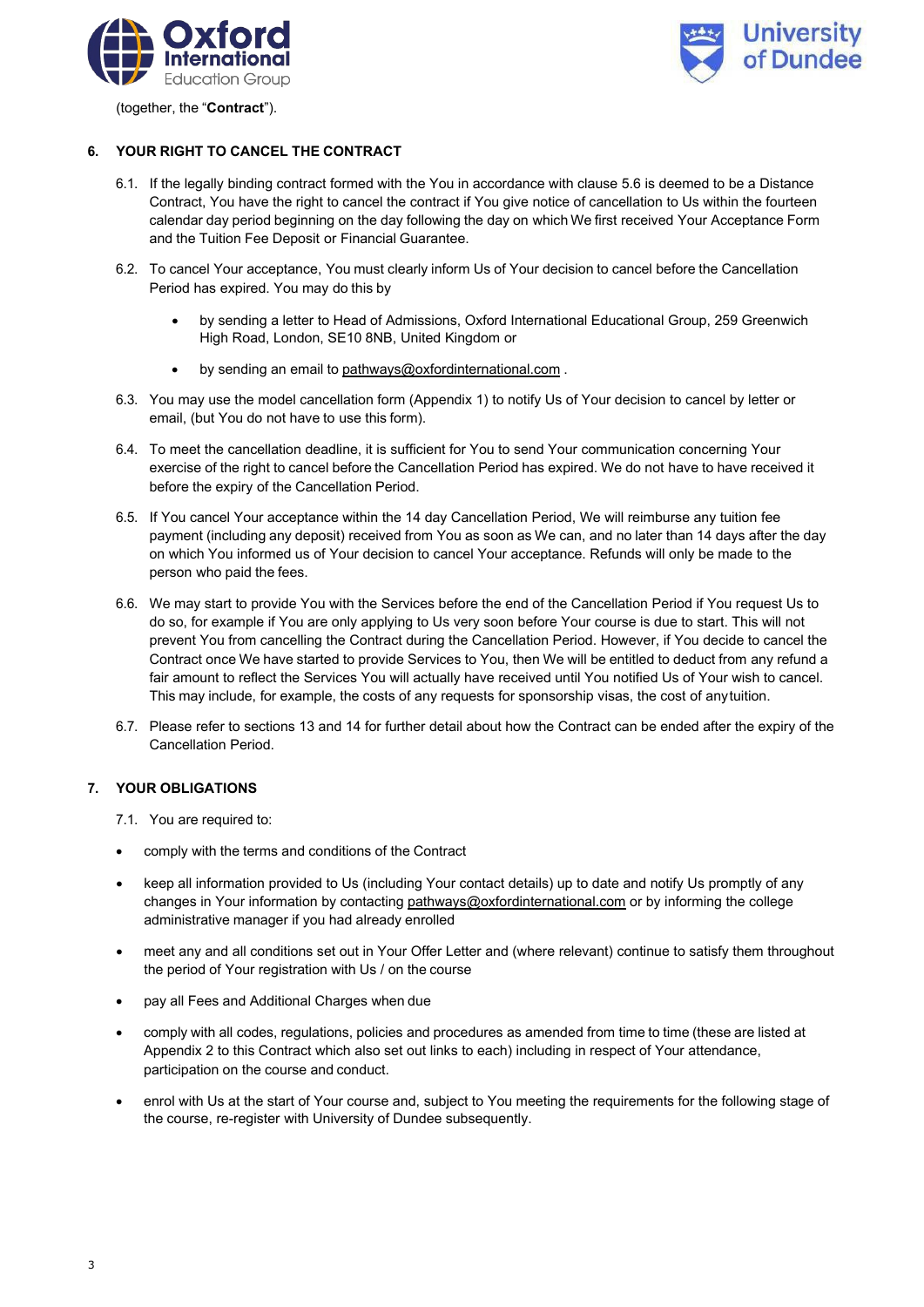



(together, the "**Contract**").

# **6. YOUR RIGHT TO CANCEL THE CONTRACT**

- 6.1. If the legally binding contract formed with the You in accordance with clause 5.6 is deemed to be a Distance Contract, You have the right to cancel the contract if You give notice of cancellation to Us within the fourteen calendar day period beginning on the day following the day on which We first received Your Acceptance Form and the Tuition Fee Deposit or Financial Guarantee.
- 6.2. To cancel Your acceptance, You must clearly inform Us of Your decision to cancel before the Cancellation Period has expired. You may do this by
	- by sending a letter to Head of Admissions, Oxford International Educational Group, 259 Greenwich High Road, London, SE10 8NB, United Kingdom or
	- by sending an email to [pathways@oxfordinternational.com](mailto:pathways@oxfordinternational.com).
- 6.3. You may use the model cancellation form (Appendix 1) to notify Us of Your decision to cancel by letter or email, (but You do not have to use this form).
- 6.4. To meet the cancellation deadline, it is sufficient for You to send Your communication concerning Your exercise of the right to cancel before the Cancellation Period has expired. We do not have to have received it before the expiry of the Cancellation Period.
- 6.5. If You cancel Your acceptance within the 14 day Cancellation Period, We will reimburse any tuition fee payment (including any deposit) received from You as soon as We can, and no later than 14 days after the day on which You informed us of Your decision to cancel Your acceptance. Refunds will only be made to the person who paid the fees.
- 6.6. We may start to provide You with the Services before the end of the Cancellation Period if You request Us to do so, for example if You are only applying to Us very soon before Your course is due to start. This will not prevent You from cancelling the Contract during the Cancellation Period. However, if You decide to cancel the Contract once We have started to provide Services to You, then We will be entitled to deduct from any refund a fair amount to reflect the Services You will actually have received until You notified Us of Your wish to cancel. This may include, for example, the costs of any requests for sponsorship visas, the cost of anytuition.
- 6.7. Please refer to sections 13 and 14 for further detail about how the Contract can be ended after the expiry of the Cancellation Period.

# **7. YOUR OBLIGATIONS**

7.1. You are required to:

- comply with the terms and conditions of the Contract
- keep all information provided to Us (including Your contact details) up to date and notify Us promptly of any changes in Your information by contacting [pathways@oxfordinternational.com](mailto:pathways@oxfordinternational.com) or by informing the college administrative manager if you had already enrolled
- meet any and all conditions set out in Your Offer Letter and (where relevant) continue to satisfy them throughout the period of Your registration with Us / on the course
- pay all Fees and Additional Charges when due
- comply with all codes, regulations, policies and procedures as amended from time to time (these are listed at Appendix 2 to this Contract which also set out links to each) including in respect of Your attendance, participation on the course and conduct.
- enrol with Us at the start of Your course and, subject to You meeting the requirements for the following stage of the course, re-register with University of Dundee subsequently.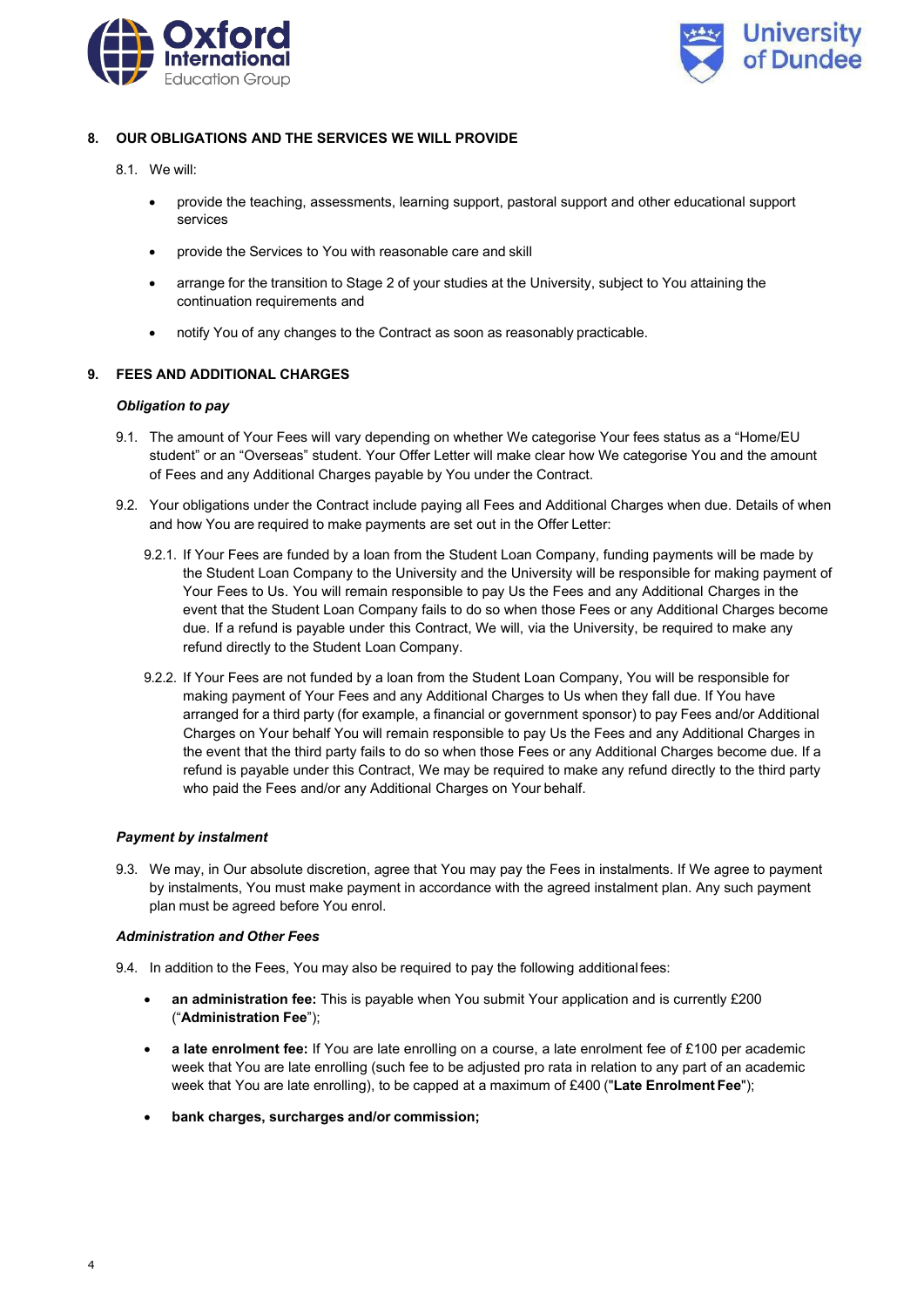



# **8. OUR OBLIGATIONS AND THE SERVICES WE WILL PROVIDE**

- 8.1. We will:
	- provide the teaching, assessments, learning support, pastoral support and other educational support services
	- provide the Services to You with reasonable care and skill
	- arrange for the transition to Stage 2 of your studies at the University, subject to You attaining the continuation requirements and
	- notify You of any changes to the Contract as soon as reasonably practicable.

# **9. FEES AND ADDITIONAL CHARGES**

### *Obligation to pay*

- 9.1. The amount of Your Fees will vary depending on whether We categorise Your fees status as a "Home/EU student" or an "Overseas" student. Your Offer Letter will make clear how We categorise You and the amount of Fees and any Additional Charges payable by You under the Contract.
- 9.2. Your obligations under the Contract include paying all Fees and Additional Charges when due. Details of when and how You are required to make payments are set out in the Offer Letter:
	- 9.2.1. If Your Fees are funded by a loan from the Student Loan Company, funding payments will be made by the Student Loan Company to the University and the University will be responsible for making payment of Your Fees to Us. You will remain responsible to pay Us the Fees and any Additional Charges in the event that the Student Loan Company fails to do so when those Fees or any Additional Charges become due. If a refund is payable under this Contract, We will, via the University, be required to make any refund directly to the Student Loan Company.
	- 9.2.2. If Your Fees are not funded by a loan from the Student Loan Company, You will be responsible for making payment of Your Fees and any Additional Charges to Us when they fall due. If You have arranged for a third party (for example, a financial or government sponsor) to pay Fees and/or Additional Charges on Your behalf You will remain responsible to pay Us the Fees and any Additional Charges in the event that the third party fails to do so when those Fees or any Additional Charges become due. If a refund is payable under this Contract, We may be required to make any refund directly to the third party who paid the Fees and/or any Additional Charges on Your behalf.

# *Payment by instalment*

9.3. We may, in Our absolute discretion, agree that You may pay the Fees in instalments. If We agree to payment by instalments, You must make payment in accordance with the agreed instalment plan. Any such payment plan must be agreed before You enrol.

#### *Administration and Other Fees*

- 9.4. In addition to the Fees, You may also be required to pay the following additional fees:
	- **an administration fee:** This is payable when You submit Your application and is currently £200 ("**Administration Fee**");
	- **a late enrolment fee:** If You are late enrolling on a course, a late enrolment fee of £100 per academic week that You are late enrolling (such fee to be adjusted pro rata in relation to any part of an academic week that You are late enrolling), to be capped at a maximum of £400 ("**Late Enrolment Fee**");
	- **bank charges, surcharges and/or commission;**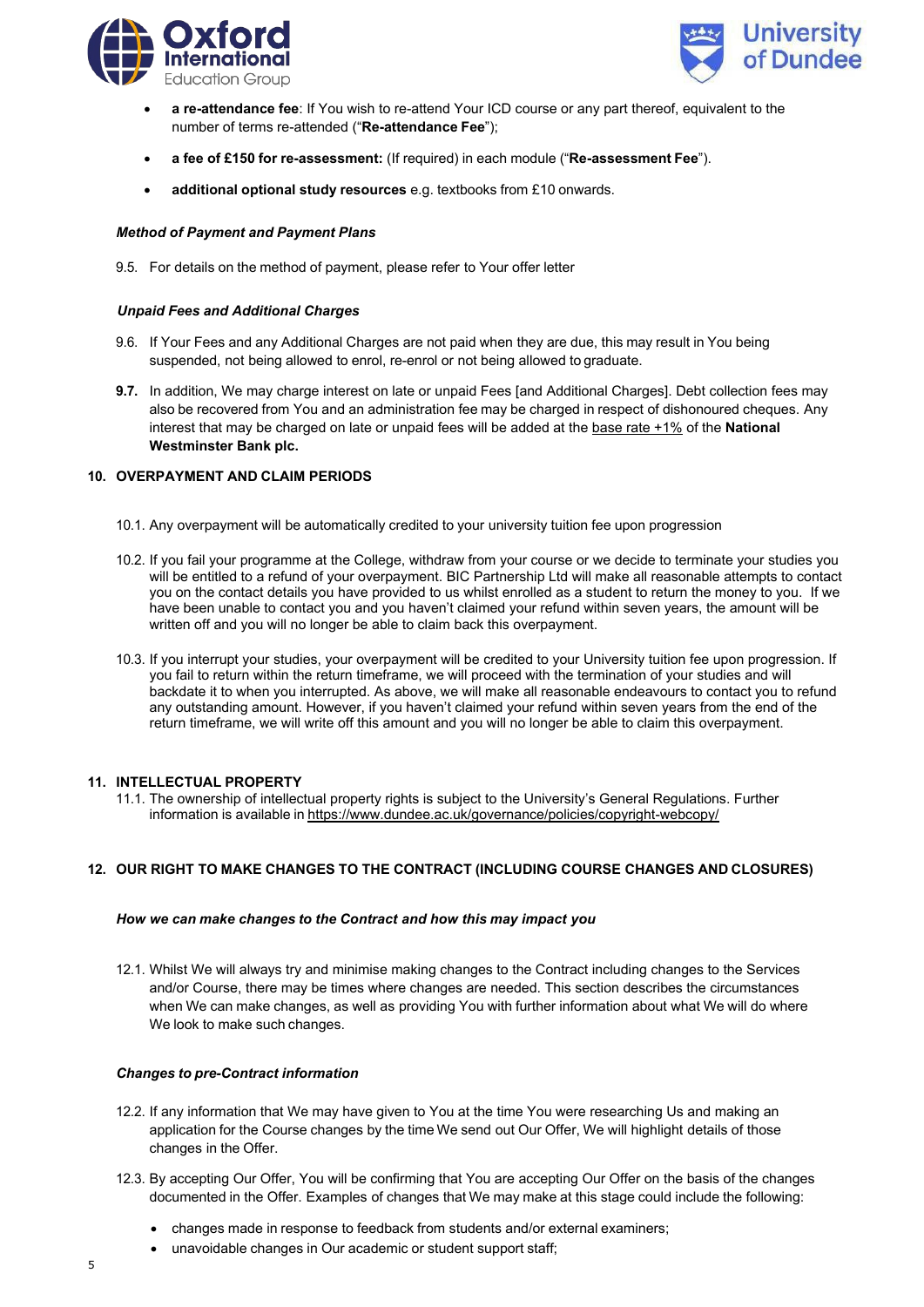



- **a re-attendance fee**: If You wish to re-attend Your ICD course or any part thereof, equivalent to the number of terms re-attended ("**Re-attendance Fee**");
- **a fee of £150 for re-assessment:** (If required) in each module ("**Re-assessment Fee**").
- **additional optional study resources** e.g. textbooks from £10 onwards.

### *Method of Payment and Payment Plans*

9.5. For details on the method of payment, please refer to Your offer letter

### *Unpaid Fees and Additional Charges*

- 9.6. If Your Fees and any Additional Charges are not paid when they are due, this may result in You being suspended, not being allowed to enrol, re-enrol or not being allowed to graduate.
- **9.7.** In addition, We may charge interest on late or unpaid Fees [and Additional Charges]. Debt collection fees may also be recovered from You and an administration fee may be charged in respect of dishonoured cheques. Any interest that may be charged on late or unpaid fees will be added at the base rate +1% of the **National Westminster Bank plc.**

# **10. OVERPAYMENT AND CLAIM PERIODS**

- 10.1. Any overpayment will be automatically credited to your university tuition fee upon progression
- 10.2. If you fail your programme at the College, withdraw from your course or we decide to terminate your studies you will be entitled to a refund of your overpayment. BIC Partnership Ltd will make all reasonable attempts to contact you on the contact details you have provided to us whilst enrolled as a student to return the money to you. If we have been unable to contact you and you haven't claimed your refund within seven years, the amount will be written off and you will no longer be able to claim back this overpayment.
- 10.3. If you interrupt your studies, your overpayment will be credited to your University tuition fee upon progression. If you fail to return within the return timeframe, we will proceed with the termination of your studies and will backdate it to when you interrupted. As above, we will make all reasonable endeavours to contact you to refund any outstanding amount. However, if you haven't claimed your refund within seven years from the end of the return timeframe, we will write off this amount and you will no longer be able to claim this overpayment.

#### **11. INTELLECTUAL PROPERTY**

11.1. The ownership of intellectual property rights is subject to the University's General Regulations. Further information is available in <https://www.dundee.ac.uk/governance/policies/copyright-webcopy/>

# **12. OUR RIGHT TO MAKE CHANGES TO THE CONTRACT (INCLUDING COURSE CHANGES AND CLOSURES)**

#### *How we can make changes to the Contract and how this may impact you*

12.1. Whilst We will always try and minimise making changes to the Contract including changes to the Services and/or Course, there may be times where changes are needed. This section describes the circumstances when We can make changes, as well as providing You with further information about what We will do where We look to make such changes.

### *Changes to pre-Contract information*

- 12.2. If any information that We may have given to You at the time You were researching Us and making an application for the Course changes by the time We send out Our Offer, We will highlight details of those changes in the Offer.
- 12.3. By accepting Our Offer, You will be confirming that You are accepting Our Offer on the basis of the changes documented in the Offer. Examples of changes that We may make at this stage could include the following:
	- changes made in response to feedback from students and/or external examiners;
	- unavoidable changes in Our academic or student support staff;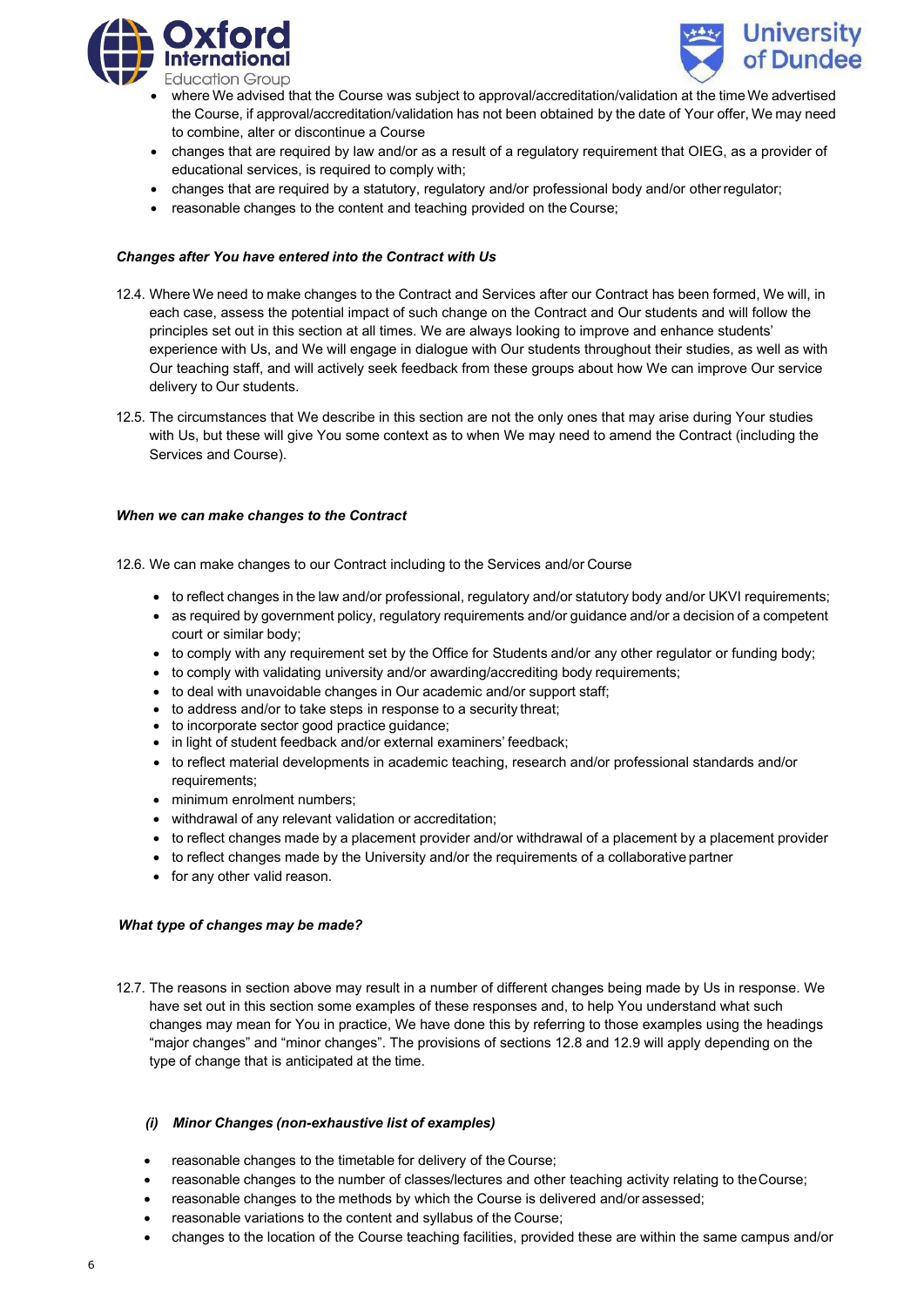



- where We advised that the Course was subject to approval/accreditation/validation at the timeWe advertised the Course, if approval/accreditation/validation has not been obtained by the date of Your offer, We may need to combine, alter or discontinue a Course
- changes that are required by law and/or as a result of a regulatory requirement that OIEG, as a provider of educational services, is required to comply with;
- changes that are required by a statutory, regulatory and/or professional body and/or otherregulator;
- reasonable changes to the content and teaching provided on the Course;

## *Changes after You have entered into the Contract with Us*

- 12.4. Where We need to make changes to the Contract and Services after our Contract has been formed, We will, in each case, assess the potential impact of such change on the Contract and Our students and will follow the principles set out in this section at all times. We are always looking to improve and enhance students' experience with Us, and We will engage in dialogue with Our students throughout their studies, as well as with Our teaching staff, and will actively seek feedback from these groups about how We can improve Our service delivery to Our students.
- 12.5. The circumstances that We describe in this section are not the only ones that may arise during Your studies with Us, but these will give You some context as to when We may need to amend the Contract (including the Services and Course).

#### *When we can make changes to the Contract*

12.6. We can make changes to our Contract including to the Services and/or Course

- to reflect changes in the law and/or professional, regulatory and/or statutory body and/or UKVI requirements;
- as required by government policy, regulatory requirements and/or guidance and/or a decision of a competent court or similar body;
- to comply with any requirement set by the Office for Students and/or any other regulator or funding body;
- to comply with validating university and/or awarding/accrediting body requirements;
- to deal with unavoidable changes in Our academic and/or support staff;
- to address and/or to take steps in response to a security threat;
- to incorporate sector good practice guidance;
- in light of student feedback and/or external examiners' feedback;
- to reflect material developments in academic teaching, research and/or professional standards and/or requirements;
- minimum enrolment numbers;
- withdrawal of any relevant validation or accreditation;
- to reflect changes made by a placement provider and/or withdrawal of a placement by a placement provider
- to reflect changes made by the University and/or the requirements of a collaborative partner
- for any other valid reason.

#### *What type of changes may be made?*

12.7. The reasons in section above may result in a number of different changes being made by Us in response. We have set out in this section some examples of these responses and, to help You understand what such changes may mean for You in practice, We have done this by referring to those examples using the headings "major changes" and "minor changes". The provisions of sections 12.8 and 12.9 will apply depending on the type of change that is anticipated at the time.

#### *(i) Minor Changes (non-exhaustive list of examples)*

- reasonable changes to the timetable for delivery of the Course;
- reasonable changes to the number of classes/lectures and other teaching activity relating to theCourse;
- reasonable changes to the methods by which the Course is delivered and/or assessed;
- reasonable variations to the content and syllabus of the Course;
- changes to the location of the Course teaching facilities, provided these are within the same campus and/or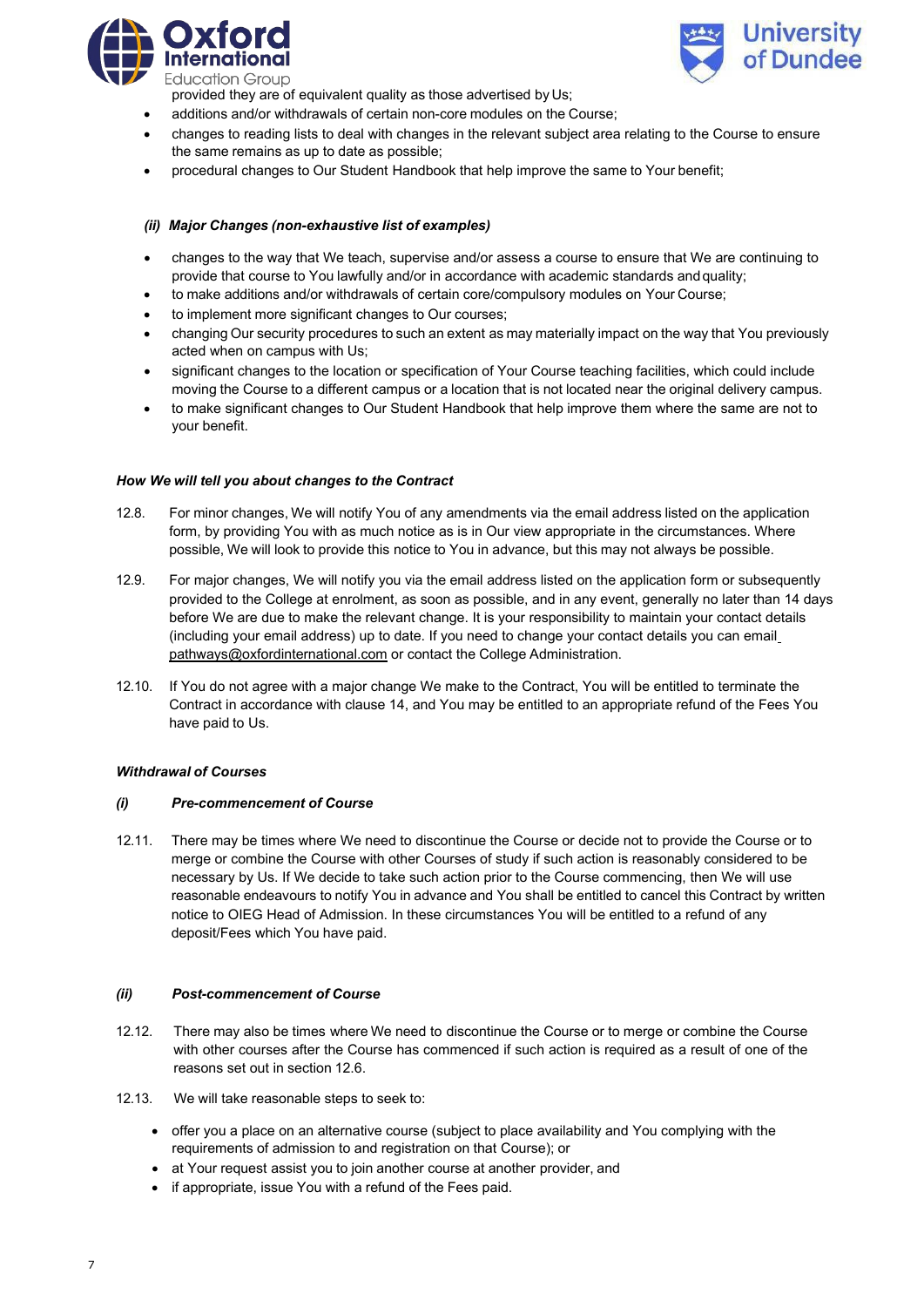

**University** of Dundee

provided they are of equivalent quality as those advertised by Us;

- additions and/or withdrawals of certain non-core modules on the Course;
- changes to reading lists to deal with changes in the relevant subject area relating to the Course to ensure the same remains as up to date as possible;
- procedural changes to Our Student Handbook that help improve the same to Your benefit;

### *(ii) Major Changes (non-exhaustive list of examples)*

- changes to the way that We teach, supervise and/or assess a course to ensure that We are continuing to provide that course to You lawfully and/or in accordance with academic standards andquality;
- to make additions and/or withdrawals of certain core/compulsory modules on Your Course;
- to implement more significant changes to Our courses;
- changing Our security procedures to such an extent as may materially impact on the way that You previously acted when on campus with Us;
- significant changes to the location or specification of Your Course teaching facilities, which could include moving the Course to a different campus or a location that is not located near the original delivery campus.
- to make significant changes to Our Student Handbook that help improve them where the same are not to your benefit.

#### *How We will tell you about changes to the Contract*

- 12.8. For minor changes, We will notify You of any amendments via the email address listed on the application form, by providing You with as much notice as is in Our view appropriate in the circumstances. Where possible, We will look to provide this notice to You in advance, but this may not always be possible.
- 12.9. For major changes, We will notify you via the email address listed on the application form or subsequently provided to the College at enrolment, as soon as possible, and in any event, generally no later than 14 days before We are due to make the relevant change. It is your responsibility to maintain your contact details (including your email address) up to date. If you need to change your contact details you can em[ail](mailto:pathways@oxfordinternational.com) [pathways@oxfordinternational.com](mailto:pathways@oxfordinternational.com) or contact the College Administration.
- 12.10. If You do not agree with a major change We make to the Contract, You will be entitled to terminate the Contract in accordance with clause 14, and You may be entitled to an appropriate refund of the Fees You have paid to Us.

#### *Withdrawal of Courses*

### *(i) Pre-commencement of Course*

12.11. There may be times where We need to discontinue the Course or decide not to provide the Course or to merge or combine the Course with other Courses of study if such action is reasonably considered to be necessary by Us. If We decide to take such action prior to the Course commencing, then We will use reasonable endeavours to notify You in advance and You shall be entitled to cancel this Contract by written notice to OIEG Head of Admission. In these circumstances You will be entitled to a refund of any deposit/Fees which You have paid.

#### *(ii) Post-commencement of Course*

- 12.12. There may also be times where We need to discontinue the Course or to merge or combine the Course with other courses after the Course has commenced if such action is required as a result of one of the reasons set out in section 12.6.
- 12.13. We will take reasonable steps to seek to:
	- offer you a place on an alternative course (subject to place availability and You complying with the requirements of admission to and registration on that Course); or
	- at Your request assist you to join another course at another provider, and
	- if appropriate, issue You with a refund of the Fees paid.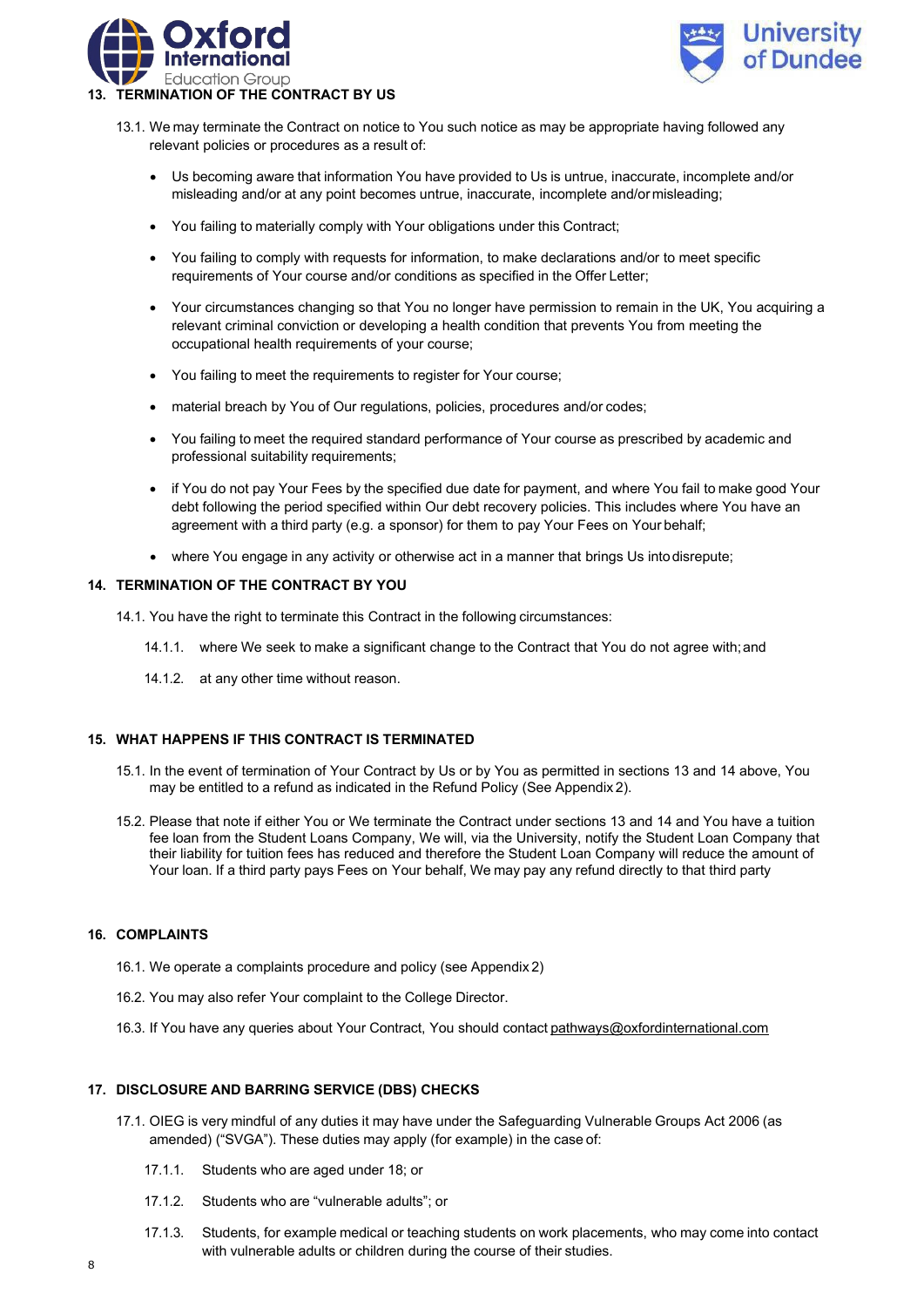



- 13.1. We may terminate the Contract on notice to You such notice as may be appropriate having followed any relevant policies or procedures as a result of:
	- Us becoming aware that information You have provided to Us is untrue, inaccurate, incomplete and/or misleading and/or at any point becomes untrue, inaccurate, incomplete and/ormisleading;
	- You failing to materially comply with Your obligations under this Contract;
	- You failing to comply with requests for information, to make declarations and/or to meet specific requirements of Your course and/or conditions as specified in the Offer Letter;
	- Your circumstances changing so that You no longer have permission to remain in the UK, You acquiring a relevant criminal conviction or developing a health condition that prevents You from meeting the occupational health requirements of your course;
	- You failing to meet the requirements to register for Your course;
	- material breach by You of Our regulations, policies, procedures and/or codes;
	- You failing to meet the required standard performance of Your course as prescribed by academic and professional suitability requirements;
	- if You do not pay Your Fees by the specified due date for payment, and where You fail to make good Your debt following the period specified within Our debt recovery policies. This includes where You have an agreement with a third party (e.g. a sponsor) for them to pay Your Fees on Your behalf;
	- where You engage in any activity or otherwise act in a manner that brings Us intodisrepute;

### **14. TERMINATION OF THE CONTRACT BY YOU**

- 14.1. You have the right to terminate this Contract in the following circumstances:
	- 14.1.1. where We seek to make a significant change to the Contract that You do not agree with;and
	- 14.1.2. at any other time without reason.

#### **15. WHAT HAPPENS IF THIS CONTRACT IS TERMINATED**

- 15.1. In the event of termination of Your Contract by Us or by You as permitted in sections 13 and 14 above, You may be entitled to a refund as indicated in the Refund Policy (See Appendix 2).
- 15.2. Please that note if either You or We terminate the Contract under sections 13 and 14 and You have a tuition fee loan from the Student Loans Company, We will, via the University, notify the Student Loan Company that their liability for tuition fees has reduced and therefore the Student Loan Company will reduce the amount of Your loan. If a third party pays Fees on Your behalf, We may pay any refund directly to that third party

# **16. COMPLAINTS**

- 16.1. We operate a complaints procedure and policy (see Appendix 2)
- 16.2. You may also refer Your complaint to the College Director.
- 16.3. If You have any queries about Your Contract, You should contact [pathways@oxfordinternational.com](mailto:pathways@oxfordinternational.com)

# **17. DISCLOSURE AND BARRING SERVICE (DBS) CHECKS**

- 17.1. OIEG is very mindful of any duties it may have under the Safeguarding Vulnerable Groups Act 2006 (as amended) ("SVGA"). These duties may apply (for example) in the case of:
	- 17.1.1. Students who are aged under 18; or
	- 17.1.2. Students who are "vulnerable adults"; or
	- 17.1.3. Students, for example medical or teaching students on work placements, who may come into contact with vulnerable adults or children during the course of their studies.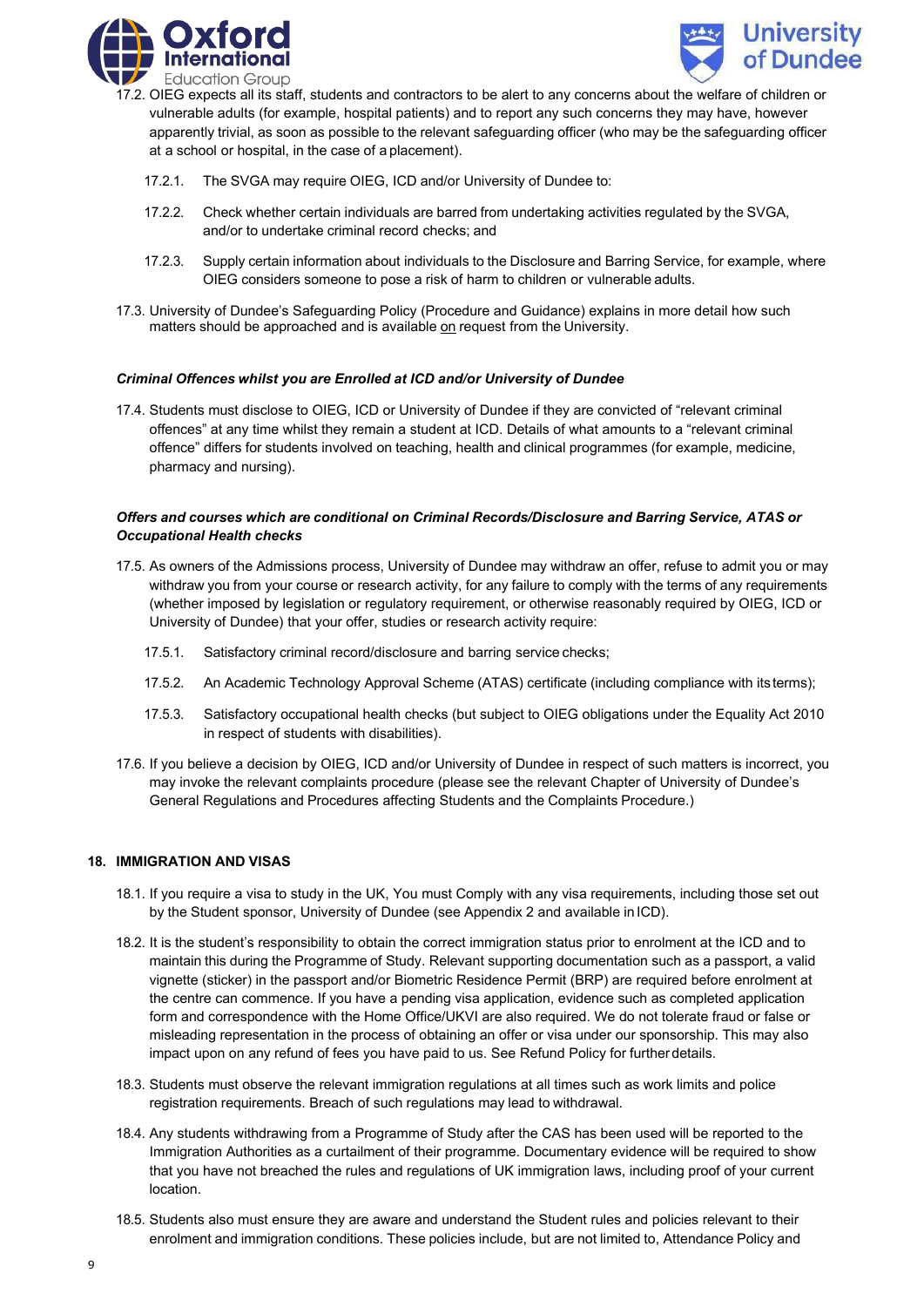



- 17.2. OIEG expects all its staff, students and contractors to be alert to any concerns about the welfare of children or vulnerable adults (for example, hospital patients) and to report any such concerns they may have, however apparently trivial, as soon as possible to the relevant safeguarding officer (who may be the safeguarding officer at a school or hospital, in the case of a placement).
	- 17.2.1. The SVGA may require OIEG, ICD and/or University of Dundee to:
	- 17.2.2. Check whether certain individuals are barred from undertaking activities regulated by the SVGA, and/or to undertake criminal record checks; and
	- 17.2.3. Supply certain information about individuals to the Disclosure and Barring Service, for example, where OIEG considers someone to pose a risk of harm to children or vulnerable adults.
- 17.3. University of Dundee's Safeguarding Policy (Procedure and Guidance) explains in more detail how such matters should be approached and is available on request from the University.

### *Criminal Offences whilst you are Enrolled at ICD and/or University of Dundee*

17.4. Students must disclose to OIEG, ICD or University of Dundee if they are convicted of "relevant criminal offences" at any time whilst they remain a student at ICD. Details of what amounts to a "relevant criminal offence" differs for students involved on teaching, health and clinical programmes (for example, medicine, pharmacy and nursing).

### *Offers and courses which are conditional on Criminal Records/Disclosure and Barring Service, ATAS or Occupational Health checks*

- 17.5. As owners of the Admissions process, University of Dundee may withdraw an offer, refuse to admit you or may withdraw you from your course or research activity, for any failure to comply with the terms of any requirements (whether imposed by legislation or regulatory requirement, or otherwise reasonably required by OIEG, ICD or University of Dundee) that your offer, studies or research activity require:
	- 17.5.1. Satisfactory criminal record/disclosure and barring service checks;
	- 17.5.2. An Academic Technology Approval Scheme (ATAS) certificate (including compliance with its terms);
	- 17.5.3. Satisfactory occupational health checks (but subject to OIEG obligations under the Equality Act 2010 in respect of students with disabilities).
- 17.6. If you believe a decision by OIEG, ICD and/or University of Dundee in respect of such matters is incorrect, you may invoke the relevant complaints procedure (please see the relevant Chapter of University of Dundee's General Regulations and Procedures affecting Students and the Complaints Procedure.)

#### **18. IMMIGRATION AND VISAS**

- 18.1. If you require a visa to study in the UK, You must Comply with any visa requirements, including those set out by the Student sponsor, University of Dundee (see Appendix 2 and available in ICD).
- 18.2. It is the student's responsibility to obtain the correct immigration status prior to enrolment at the ICD and to maintain this during the Programme of Study. Relevant supporting documentation such as a passport, a valid vignette (sticker) in the passport and/or Biometric Residence Permit (BRP) are required before enrolment at the centre can commence. If you have a pending visa application, evidence such as completed application form and correspondence with the Home Office/UKVI are also required. We do not tolerate fraud or false or misleading representation in the process of obtaining an offer or visa under our sponsorship. This may also impact upon on any refund of fees you have paid to us. See Refund Policy for further details.
- 18.3. Students must observe the relevant immigration regulations at all times such as work limits and police registration requirements. Breach of such regulations may lead to withdrawal.
- 18.4. Any students withdrawing from a Programme of Study after the CAS has been used will be reported to the Immigration Authorities as a curtailment of their programme. Documentary evidence will be required to show that you have not breached the rules and regulations of UK immigration laws, including proof of your current location.
- 18.5. Students also must ensure they are aware and understand the Student rules and policies relevant to their enrolment and immigration conditions. These policies include, but are not limited to, Attendance Policy and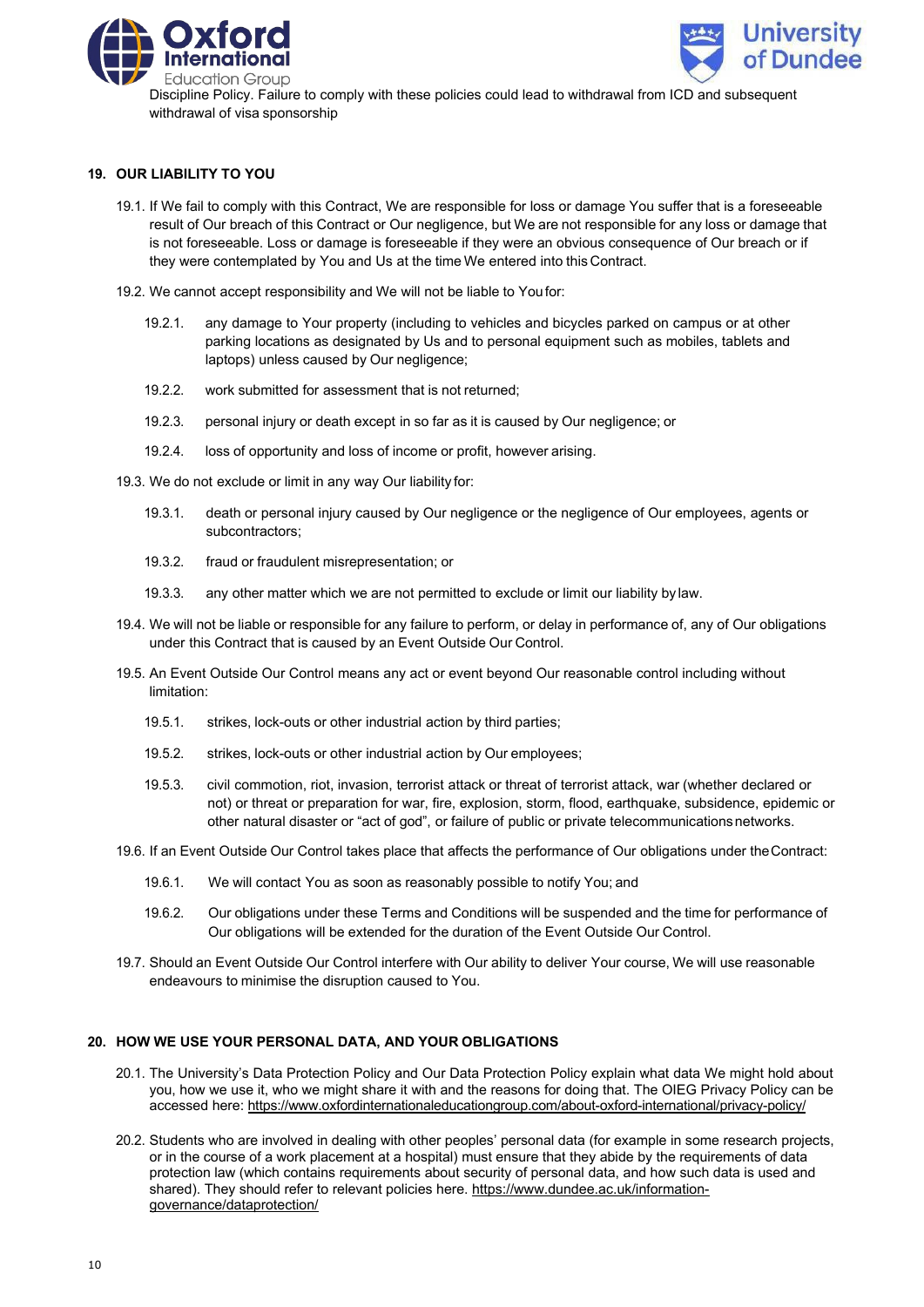



Discipline Policy. Failure to comply with these policies could lead to withdrawal from ICD and subsequent withdrawal of visa sponsorship

### **19. OUR LIABILITY TO YOU**

- 19.1. If We fail to comply with this Contract, We are responsible for loss or damage You suffer that is a foreseeable result of Our breach of this Contract or Our negligence, but We are not responsible for any loss or damage that is not foreseeable. Loss or damage is foreseeable if they were an obvious consequence of Our breach or if they were contemplated by You and Us at the time We entered into this Contract.
- 19.2. We cannot accept responsibility and We will not be liable to Youfor:
	- 19.2.1. any damage to Your property (including to vehicles and bicycles parked on campus or at other parking locations as designated by Us and to personal equipment such as mobiles, tablets and laptops) unless caused by Our negligence;
	- 19.2.2. work submitted for assessment that is not returned;
	- 19.2.3. personal injury or death except in so far as it is caused by Our negligence; or
	- 19.2.4. loss of opportunity and loss of income or profit, however arising.
- 19.3. We do not exclude or limit in any way Our liability for:
	- 19.3.1. death or personal injury caused by Our negligence or the negligence of Our employees, agents or subcontractors;
	- 19.3.2. fraud or fraudulent misrepresentation; or
	- 19.3.3. any other matter which we are not permitted to exclude or limit our liability by law.
- 19.4. We will not be liable or responsible for any failure to perform, or delay in performance of, any of Our obligations under this Contract that is caused by an Event Outside Our Control.
- 19.5. An Event Outside Our Control means any act or event beyond Our reasonable control including without limitation:
	- 19.5.1. strikes, lock-outs or other industrial action by third parties;
	- 19.5.2. strikes, lock-outs or other industrial action by Our employees;
	- 19.5.3. civil commotion, riot, invasion, terrorist attack or threat of terrorist attack, war (whether declared or not) or threat or preparation for war, fire, explosion, storm, flood, earthquake, subsidence, epidemic or other natural disaster or "act of god", or failure of public or private telecommunications networks.
- 19.6. If an Event Outside Our Control takes place that affects the performance of Our obligations under theContract:
	- 19.6.1. We will contact You as soon as reasonably possible to notify You; and
	- 19.6.2. Our obligations under these Terms and Conditions will be suspended and the time for performance of Our obligations will be extended for the duration of the Event Outside Our Control.
- 19.7. Should an Event Outside Our Control interfere with Our ability to deliver Your course, We will use reasonable endeavours to minimise the disruption caused to You.

# **20. HOW WE USE YOUR PERSONAL DATA, AND YOUR OBLIGATIONS**

- 20.1. The University's Data Protection Policy and Our Data Protection Policy explain what data We might hold about you, how we use it, who we might share it with and the reasons for doing that. The OIEG Privacy Policy can be accessed here: https://www.oxfordinternationaleducationgroup.com/about-oxford-international/privacy-policy/
- 20.2. Students who are involved in dealing with other peoples' personal data (for example in some research projects, or in the course of a work placement at a hospital) must ensure that they abide by the requirements of data protection law (which contains requirements about security of personal data, and how such data is used and shared). They should refer to relevant policies here. [https://www.dundee.ac.uk/information](https://www.dundee.ac.uk/information-governance/dataprotection/)[governance/dataprotection/](https://www.dundee.ac.uk/information-governance/dataprotection/)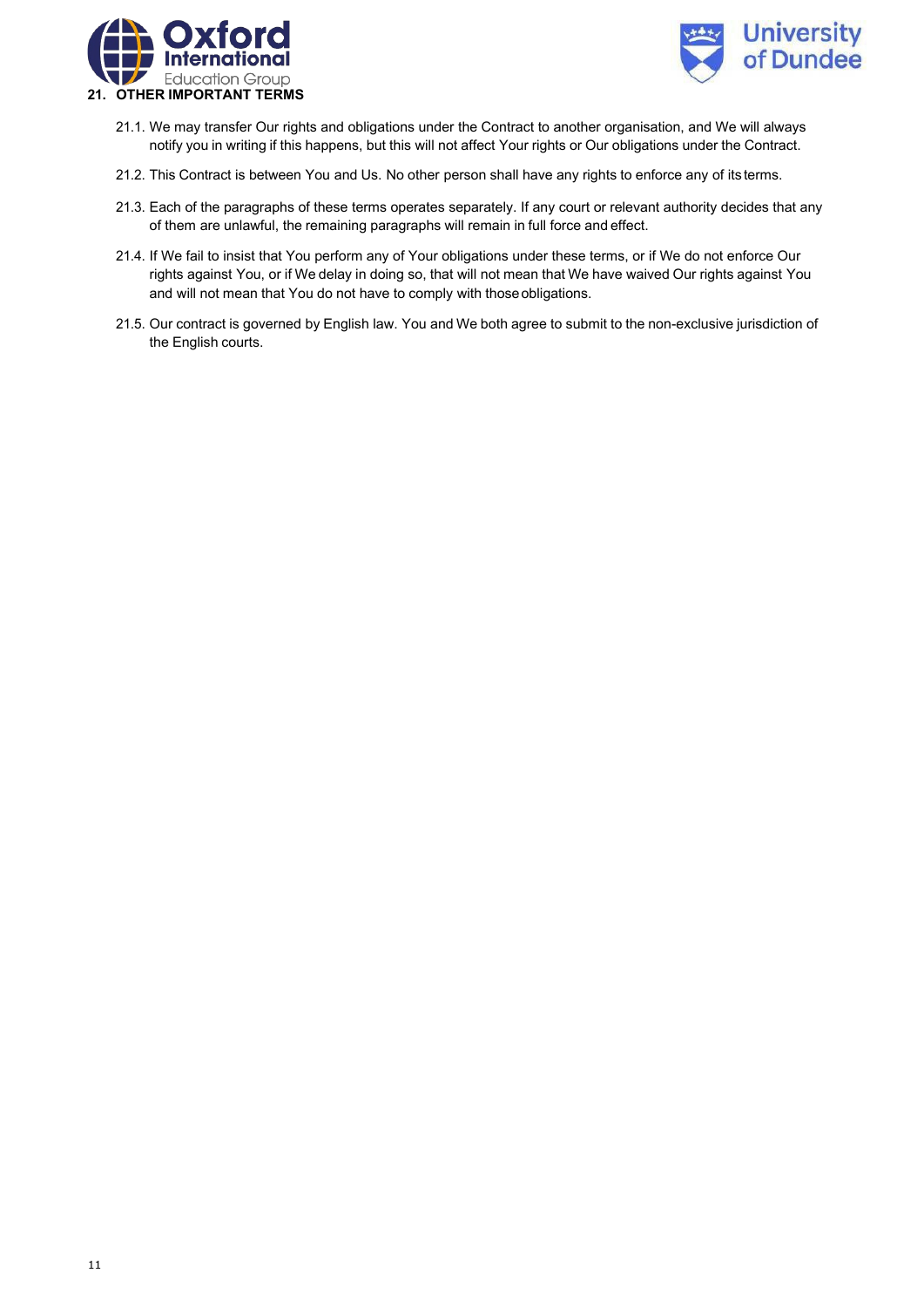



- 21.1. We may transfer Our rights and obligations under the Contract to another organisation, and We will always notify you in writing if this happens, but this will not affect Your rights or Our obligations under the Contract.
- 21.2. This Contract is between You and Us. No other person shall have any rights to enforce any of its terms.
- 21.3. Each of the paragraphs of these terms operates separately. If any court or relevant authority decides that any of them are unlawful, the remaining paragraphs will remain in full force and effect.
- 21.4. If We fail to insist that You perform any of Your obligations under these terms, or if We do not enforce Our rights against You, or if We delay in doing so, that will not mean that We have waived Our rights against You and will not mean that You do not have to comply with thoseobligations.
- 21.5. Our contract is governed by English law. You and We both agree to submit to the non-exclusive jurisdiction of the English courts.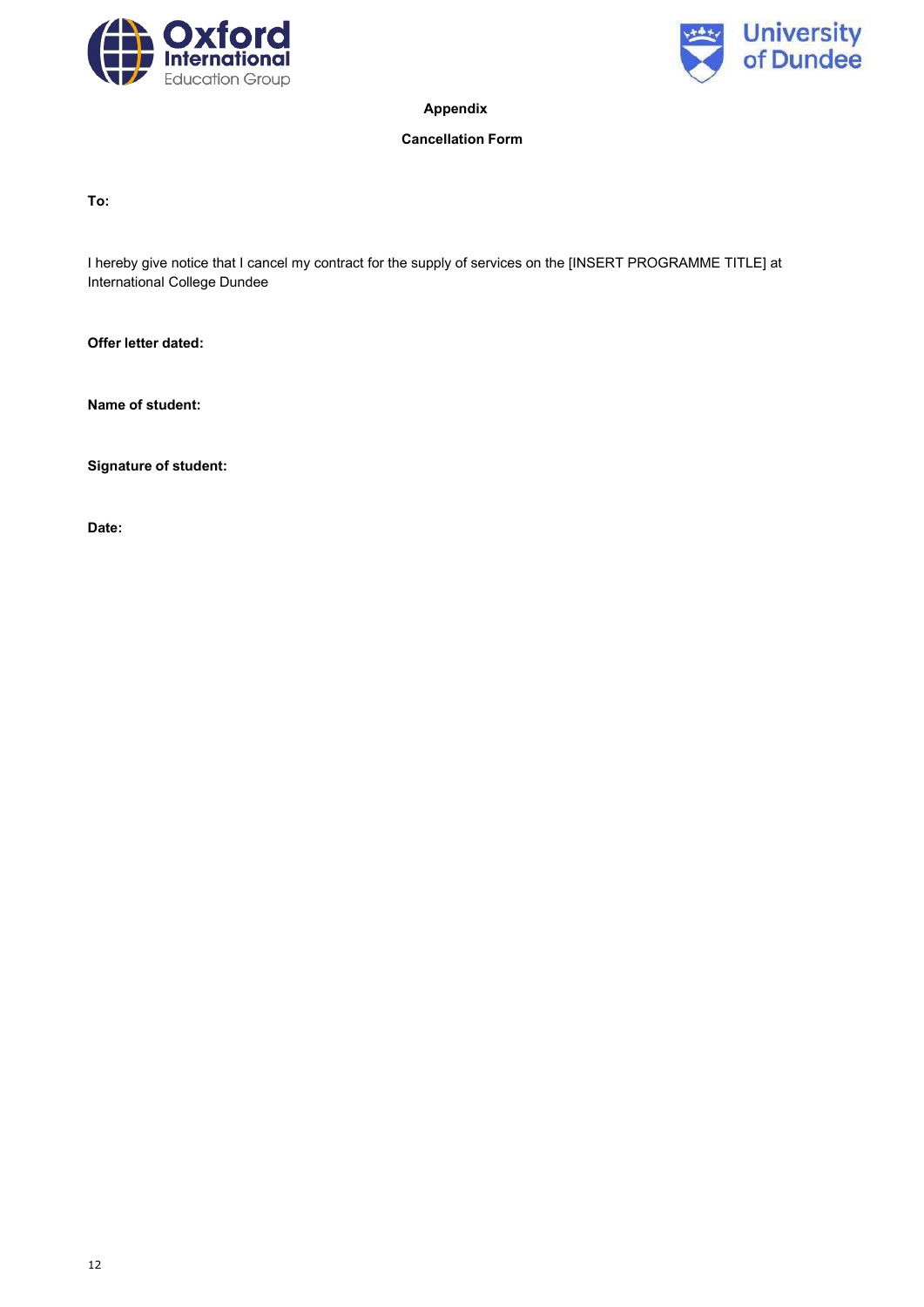



**Appendix**

# **Cancellation Form**

**To:**

I hereby give notice that I cancel my contract for the supply of services on the [INSERT PROGRAMME TITLE] at International College Dundee

**Offer letter dated:**

**Name of student:**

**Signature of student:**

**Date:**